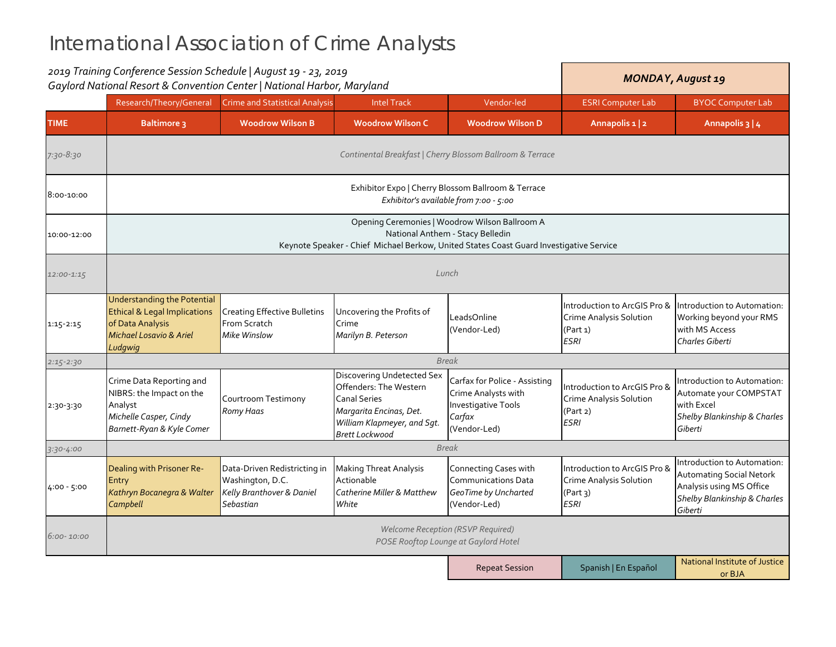|                | 2019 Training Conference Session Schedule   August 19 - 23, 2019<br>Gaylord National Resort & Convention Center   National Harbor, Maryland                                   |                                                                                            | <b>MONDAY, August 19</b>                                                                                                                                              |                                                                                                       |                                                                                           |                                                                                                                                       |  |  |
|----------------|-------------------------------------------------------------------------------------------------------------------------------------------------------------------------------|--------------------------------------------------------------------------------------------|-----------------------------------------------------------------------------------------------------------------------------------------------------------------------|-------------------------------------------------------------------------------------------------------|-------------------------------------------------------------------------------------------|---------------------------------------------------------------------------------------------------------------------------------------|--|--|
|                | Research/Theory/General                                                                                                                                                       | <b>Crime and Statistical Analysis</b>                                                      | <b>Intel Track</b>                                                                                                                                                    | Vendor-led                                                                                            | <b>ESRI Computer Lab</b>                                                                  | <b>BYOC Computer Lab</b>                                                                                                              |  |  |
| <b>TIME</b>    | <b>Baltimore 3</b>                                                                                                                                                            | <b>Woodrow Wilson B</b>                                                                    | <b>Woodrow Wilson C</b>                                                                                                                                               | <b>Woodrow Wilson D</b>                                                                               | Annapolis 1   2                                                                           | Annapolis 3   4                                                                                                                       |  |  |
| 7:30-8:30      |                                                                                                                                                                               |                                                                                            |                                                                                                                                                                       | Continental Breakfast   Cherry Blossom Ballroom & Terrace                                             |                                                                                           |                                                                                                                                       |  |  |
| 8:00-10:00     | Exhibitor Expo   Cherry Blossom Ballroom & Terrace<br>Exhibitor's available from 7:00 - 5:00                                                                                  |                                                                                            |                                                                                                                                                                       |                                                                                                       |                                                                                           |                                                                                                                                       |  |  |
| 10:00-12:00    | Opening Ceremonies   Woodrow Wilson Ballroom A<br>National Anthem - Stacy Belledin<br>Keynote Speaker - Chief Michael Berkow, United States Coast Guard Investigative Service |                                                                                            |                                                                                                                                                                       |                                                                                                       |                                                                                           |                                                                                                                                       |  |  |
| $12:00 - 1:15$ | Lunch                                                                                                                                                                         |                                                                                            |                                                                                                                                                                       |                                                                                                       |                                                                                           |                                                                                                                                       |  |  |
| $1:15 - 2:15$  | <b>Understanding the Potential</b><br><b>Ethical &amp; Legal Implications</b><br>of Data Analysis<br><b>Michael Losavio &amp; Ariel</b><br>Ludgwig                            | <b>Creating Effective Bulletins</b><br>From Scratch<br><b>Mike Winslow</b>                 | Uncovering the Profits of<br>Crime<br>Marilyn B. Peterson                                                                                                             | LeadsOnline<br>(Vendor-Led)                                                                           | Introduction to ArcGIS Pro &<br><b>Crime Analysis Solution</b><br>(Part 1)<br><b>ESRI</b> | Introduction to Automation:<br>Working beyond your RMS<br>with MS Access<br>Charles Giberti                                           |  |  |
| $2:15 - 2:30$  | <b>Break</b>                                                                                                                                                                  |                                                                                            |                                                                                                                                                                       |                                                                                                       |                                                                                           |                                                                                                                                       |  |  |
| 2:30-3:30      | Crime Data Reporting and<br>NIBRS: the Impact on the<br>Analyst<br>Michelle Casper, Cindy<br>Barnett-Ryan & Kyle Comer                                                        | Courtroom Testimony<br>Romy Haas                                                           | <b>Discovering Undetected Sex</b><br>Offenders: The Western<br><b>Canal Series</b><br>Margarita Encinas, Det.<br>William Klapmeyer, and Sgt.<br><b>Brett Lockwood</b> | Carfax for Police - Assisting<br>Crime Analysts with<br>Investigative Tools<br>Carfax<br>(Vendor-Led) | Introduction to ArcGIS Pro &<br><b>Crime Analysis Solution</b><br>(Part 2)<br><b>ESRI</b> | Introduction to Automation:<br>Automate your COMPSTAT<br>with Excel<br>Shelby Blankinship & Charles<br>Giberti                        |  |  |
| 3:30-4:00      | <b>Break</b>                                                                                                                                                                  |                                                                                            |                                                                                                                                                                       |                                                                                                       |                                                                                           |                                                                                                                                       |  |  |
| 4:00 - 5:00    | Dealing with Prisoner Re-<br>Entry<br>Kathryn Bocanegra & Walter<br>Campbell                                                                                                  | Data-Driven Redistricting in<br>Washington, D.C.<br>Kelly Branthover & Daniel<br>Sebastian | <b>Making Threat Analysis</b><br>Actionable<br><b>Catherine Miller &amp; Matthew</b><br>White                                                                         | Connecting Cases with<br><b>Communications Data</b><br>GeoTime by Uncharted<br>(Vendor-Led)           | Introduction to ArcGIS Pro &<br><b>Crime Analysis Solution</b><br>(Part 3)<br><b>ESRI</b> | Introduction to Automation:<br><b>Automating Social Netork</b><br>Analysis using MS Office<br>Shelby Blankinship & Charles<br>Giberti |  |  |
| $6:00 - 10:00$ | Welcome Reception (RSVP Required)<br>POSE Rooftop Lounge at Gaylord Hotel                                                                                                     |                                                                                            |                                                                                                                                                                       |                                                                                                       |                                                                                           |                                                                                                                                       |  |  |
|                |                                                                                                                                                                               |                                                                                            |                                                                                                                                                                       | <b>Repeat Session</b>                                                                                 | Spanish   En Español                                                                      | National Institute of Justice<br>or BJA                                                                                               |  |  |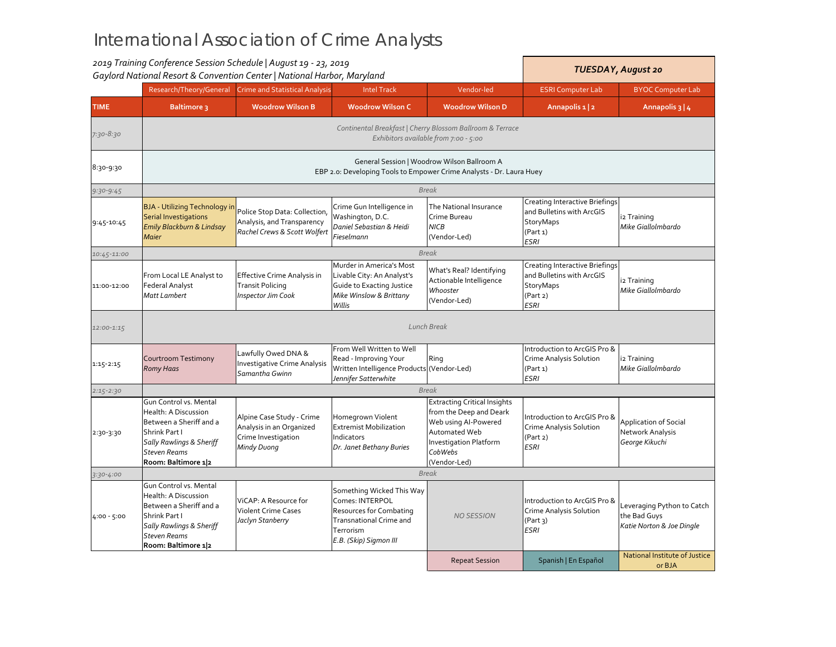|               | 2019 Training Conference Session Schedule   August 19 - 23, 2019<br>Gaylord National Resort & Convention Center   National Harbor, Maryland                                                                                                                                                                                                                                                                   |                                                                                                                     |                                                                                                                |                                                                                                                                                                     | <b>TUESDAY, August 20</b>                                                                                  |                                                                    |  |  |  |
|---------------|---------------------------------------------------------------------------------------------------------------------------------------------------------------------------------------------------------------------------------------------------------------------------------------------------------------------------------------------------------------------------------------------------------------|---------------------------------------------------------------------------------------------------------------------|----------------------------------------------------------------------------------------------------------------|---------------------------------------------------------------------------------------------------------------------------------------------------------------------|------------------------------------------------------------------------------------------------------------|--------------------------------------------------------------------|--|--|--|
|               | Research/Theory/General                                                                                                                                                                                                                                                                                                                                                                                       | <b>Crime and Statistical Analysis</b>                                                                               | <b>Intel Track</b>                                                                                             | Vendor-led                                                                                                                                                          | <b>ESRI Computer Lab</b>                                                                                   | <b>BYOC Computer Lab</b>                                           |  |  |  |
| <b>TIME</b>   | <b>Baltimore 3</b>                                                                                                                                                                                                                                                                                                                                                                                            | <b>Woodrow Wilson B</b>                                                                                             | <b>Woodrow Wilson C</b>                                                                                        | <b>Woodrow Wilson D</b>                                                                                                                                             | Annapolis 1   2                                                                                            | Annapolis 3   4                                                    |  |  |  |
| 7:30-8:30     |                                                                                                                                                                                                                                                                                                                                                                                                               |                                                                                                                     |                                                                                                                | Continental Breakfast   Cherry Blossom Ballroom & Terrace<br>Exhibitors available from 7:00 - 5:00                                                                  |                                                                                                            |                                                                    |  |  |  |
| 8:30-9:30     |                                                                                                                                                                                                                                                                                                                                                                                                               | General Session   Woodrow Wilson Ballroom A<br>EBP 2.0: Developing Tools to Empower Crime Analysts - Dr. Laura Huey |                                                                                                                |                                                                                                                                                                     |                                                                                                            |                                                                    |  |  |  |
| $9:30-9:45$   |                                                                                                                                                                                                                                                                                                                                                                                                               |                                                                                                                     |                                                                                                                | <b>Break</b>                                                                                                                                                        |                                                                                                            |                                                                    |  |  |  |
| 9:45-10:45    | <b>BJA - Utilizing Technology in</b><br>Police Stop Data: Collection,<br><b>Serial Investigations</b><br>Analysis, and Transparency<br>Emily Blackburn & Lindsay<br>Rachel Crews & Scott Wolfert<br><b>Maier</b>                                                                                                                                                                                              |                                                                                                                     | Crime Gun Intelligence in<br>Washington, D.C.<br>Daniel Sebastian & Heidi<br>Fieselmann                        | The National Insurance<br>Crime Bureau<br><b>NICB</b><br>(Vendor-Led)                                                                                               | Creating Interactive Briefings<br>and Bulletins with ArcGIS<br><b>StoryMaps</b><br>(Part 1)<br><b>ESRI</b> | i2 Training<br>Mike Giallolmbardo                                  |  |  |  |
| 10:45-11:00   |                                                                                                                                                                                                                                                                                                                                                                                                               |                                                                                                                     |                                                                                                                | <b>Break</b>                                                                                                                                                        |                                                                                                            |                                                                    |  |  |  |
| 11:00-12:00   | From Local LE Analyst to<br><b>Effective Crime Analysis in</b><br><b>Federal Analyst</b><br><b>Transit Policing</b><br><b>Matt Lambert</b><br><b>Inspector Jim Cook</b><br>Willis                                                                                                                                                                                                                             |                                                                                                                     | Murder in America's Most<br>Livable City: An Analyst's<br>Guide to Exacting Justice<br>Mike Winslow & Brittany | What's Real? Identifying<br>Actionable Intelligence<br>Whooster<br>(Vendor-Led)                                                                                     | <b>Creating Interactive Briefings</b><br>and Bulletins with ArcGIS<br>StoryMaps<br>(Part 2)<br><b>ESRI</b> | i2 Training<br>Mike Giallolmbardo                                  |  |  |  |
| 12:00-1:15    | <b>Lunch Break</b>                                                                                                                                                                                                                                                                                                                                                                                            |                                                                                                                     |                                                                                                                |                                                                                                                                                                     |                                                                                                            |                                                                    |  |  |  |
| $1:15 - 2:15$ | From Well Written to Well<br>Lawfully Owed DNA &<br>Read - Improving Your<br>Courtroom Testimony<br><b>Investigative Crime Analysis</b><br>Written Intelligence Products (Vendor-Led)<br><b>Romy Haas</b><br>Samantha Gwinn<br>Jennifer Satterwhite                                                                                                                                                           |                                                                                                                     | Ring                                                                                                           | Introduction to ArcGIS Pro &<br>Crime Analysis Solution<br>(Part 1)<br><b>ESRI</b>                                                                                  | i2 Training<br>Mike Giallolmbardo                                                                          |                                                                    |  |  |  |
| $2:15 - 2:30$ | <b>Break</b>                                                                                                                                                                                                                                                                                                                                                                                                  |                                                                                                                     |                                                                                                                |                                                                                                                                                                     |                                                                                                            |                                                                    |  |  |  |
| 2:30-3:30     | Gun Control vs. Mental<br>Health: A Discussion<br>Between a Sheriff and a<br>Shrink Part I<br><b>Sally Rawlings &amp; Sheriff</b><br><b>Steven Reams</b><br>Room: Baltimore 12                                                                                                                                                                                                                                | Alpine Case Study - Crime<br>Analysis in an Organized<br>Crime Investigation<br>Mindy Duong                         | Homegrown Violent<br><b>Extremist Mobilization</b><br>Indicators<br>Dr. Janet Bethany Buries                   | <b>Extracting Critical Insights</b><br>from the Deep and Deark<br>Web using Al-Powered<br>Automated Web<br><b>Investigation Platform</b><br>CobWebs<br>(Vendor-Led) | Introduction to ArcGIS Pro &<br>Crime Analysis Solution<br>(Part 2)<br><b>ESRI</b>                         | <b>Application of Social</b><br>Network Analysis<br>George Kikuchi |  |  |  |
| 3:30-4:00     | <b>Break</b>                                                                                                                                                                                                                                                                                                                                                                                                  |                                                                                                                     |                                                                                                                |                                                                                                                                                                     |                                                                                                            |                                                                    |  |  |  |
| $4:00 - 5:00$ | Gun Control vs. Mental<br>Something Wicked This Way<br>Health: A Discussion<br>Comes: INTERPOL<br>ViCAP: A Resource for<br>Between a Sheriff and a<br><b>Violent Crime Cases</b><br>Resources for Combating<br>Shrink Part I<br>Jaclyn Stanberry<br><b>Transnational Crime and</b><br><b>Sally Rawlings &amp; Sheriff</b><br>Terrorism<br><b>Steven Reams</b><br>E.B. (Skip) Sigmon III<br>Room: Baltimore 12 |                                                                                                                     | <b>NO SESSION</b>                                                                                              | Introduction to ArcGIS Pro &<br>Crime Analysis Solution<br>(Part 3)<br><b>ESRI</b>                                                                                  | Leveraging Python to Catch<br>the Bad Guys<br>Katie Norton & Joe Dingle                                    |                                                                    |  |  |  |
|               |                                                                                                                                                                                                                                                                                                                                                                                                               |                                                                                                                     |                                                                                                                | <b>Repeat Session</b>                                                                                                                                               | Spanish   En Español                                                                                       | National Institute of Justice<br>or BJA                            |  |  |  |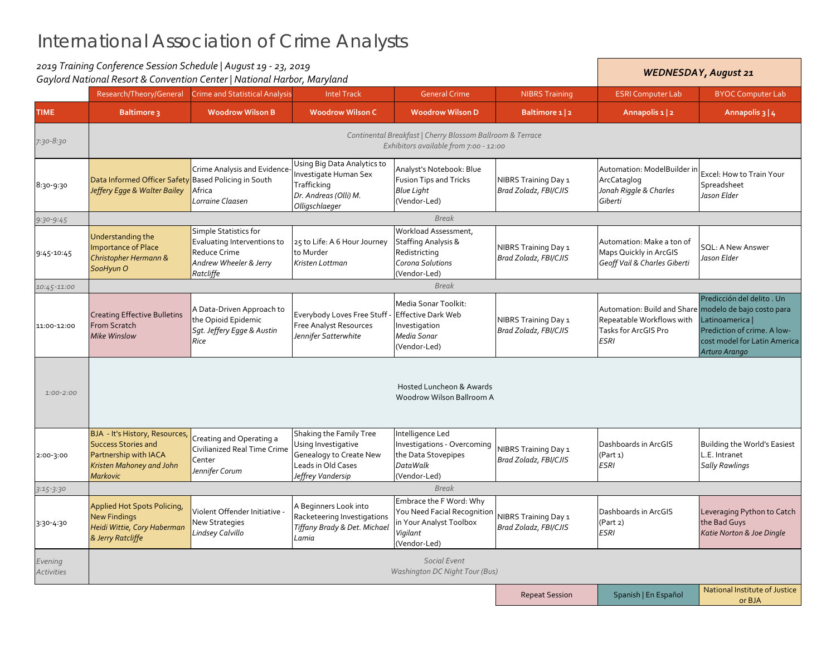|                              | 2019 Training Conference Session Schedule   August 19 - 23, 2019<br>Gaylord National Resort & Convention Center   National Harbor, Maryland |                                                                                                                    |                                                                                                                             |                                                                                                               |                                                      | <b>WEDNESDAY, August 21</b>                                                                                               |                                                                                                                               |  |
|------------------------------|---------------------------------------------------------------------------------------------------------------------------------------------|--------------------------------------------------------------------------------------------------------------------|-----------------------------------------------------------------------------------------------------------------------------|---------------------------------------------------------------------------------------------------------------|------------------------------------------------------|---------------------------------------------------------------------------------------------------------------------------|-------------------------------------------------------------------------------------------------------------------------------|--|
|                              | Research/Theory/General                                                                                                                     | <b>Crime and Statistical Analysis</b>                                                                              | <b>Intel Track</b>                                                                                                          | <b>General Crime</b>                                                                                          | <b>NIBRS Training</b>                                | <b>ESRI Computer Lab</b>                                                                                                  | <b>BYOC Computer Lab</b>                                                                                                      |  |
| <b>TIME</b>                  | <b>Baltimore 3</b>                                                                                                                          | <b>Woodrow Wilson B</b>                                                                                            | <b>Woodrow Wilson C</b>                                                                                                     | <b>Woodrow Wilson D</b>                                                                                       | Baltimore 1 2                                        | Annapolis 1   2                                                                                                           | Annapolis 3   4                                                                                                               |  |
| 7:30-8:30                    |                                                                                                                                             |                                                                                                                    | Continental Breakfast   Cherry Blossom Ballroom & Terrace<br>Exhibitors available from 7:00 - 12:00                         |                                                                                                               |                                                      |                                                                                                                           |                                                                                                                               |  |
| 8:30-9:30                    | Data Informed Officer Safety Based Policing in South<br>Jeffery Egge & Walter Bailey                                                        | Crime Analysis and Evidence-<br>Africa<br>Lorraine Claasen                                                         | Using Big Data Analytics to<br>Investigate Human Sex<br>Trafficking<br>Dr. Andreas (Olli) M.<br>Olligschlaeger              | Analyst's Notebook: Blue<br><b>Fusion Tips and Tricks</b><br><b>Blue Light</b><br>(Vendor-Led)                | NIBRS Training Day 1<br>Brad Zoladz, FBI/CJIS        | Automation: ModelBuilder in<br>ArcCataglog<br>Jonah Riggle & Charles<br>Giberti                                           | Excel: How to Train Your<br>Spreadsheet<br>Jason Elder                                                                        |  |
| $9:30-9:45$                  |                                                                                                                                             |                                                                                                                    |                                                                                                                             | <b>Break</b>                                                                                                  |                                                      |                                                                                                                           |                                                                                                                               |  |
| 9:45-10:45                   | Understanding the<br><b>Importance of Place</b><br>Christopher Hermann &<br>SooHyun O                                                       | Simple Statistics for<br>Evaluating Interventions to<br><b>Reduce Crime</b><br>Andrew Wheeler & Jerry<br>Ratcliffe | 25 to Life: A 6 Hour Journey<br>to Murder<br>Kristen Lottman                                                                | Workload Assessment,<br><b>Staffing Analysis &amp;</b><br>Redistricting<br>Corona Solutions<br>(Vendor-Led)   | NIBRS Training Day 1<br>Brad Zoladz, FBI/CJIS        | Automation: Make a ton of<br>Maps Quickly in ArcGIS<br>Geoff Vail & Charles Giberti                                       | <b>SQL: A New Answer</b><br>Jason Elder                                                                                       |  |
| 10:45-11:00                  |                                                                                                                                             |                                                                                                                    |                                                                                                                             | <b>Break</b>                                                                                                  |                                                      |                                                                                                                           |                                                                                                                               |  |
| 11:00-12:00                  | <b>Creating Effective Bulletins</b><br>From Scratch<br>Mike Winslow                                                                         | A Data-Driven Approach to<br>the Opioid Epidemic<br>Sqt. Jeffery Egge & Austin<br>Rice                             | Everybody Loves Free Stuff <sub>:</sub><br><b>Free Analyst Resources</b><br>Jennifer Satterwhite                            | Media Sonar Toolkit:<br><b>Effective Dark Web</b><br>Investigation<br>Media Sonar<br>(Vendor-Led)             | NIBRS Training Day 1<br>Brad Zoladz, FBI/CJIS        | Automation: Build and Share modelo de bajo costo para<br>Repeatable Workflows with<br>Tasks for ArcGIS Pro<br><b>ESRI</b> | Predicción del delito . Un<br>Latinoamerica  <br>Prediction of crime. A low-<br>cost model for Latin America<br>Arturo Arango |  |
| $1:00 - 2:00$                |                                                                                                                                             |                                                                                                                    |                                                                                                                             | Hosted Luncheon & Awards<br>Woodrow Wilson Ballroom A                                                         |                                                      |                                                                                                                           |                                                                                                                               |  |
| 2:00-3:00                    | BJA - It's History, Resources,<br><b>Success Stories and</b><br>Partnership with IACA<br>Kristen Mahoney and John<br><b>Markovic</b>        | Creating and Operating a<br>Civilianized Real Time Crime<br>Center<br>Jennifer Corum                               | Shaking the Family Tree<br>Using Investigative<br><b>Genealogy to Create New</b><br>Leads in Old Cases<br>Jeffrey Vandersip | Intelligence Led<br>Investigations - Overcoming<br>the Data Stovepipes<br><b>DataWalk</b><br>(Vendor-Led)     | <b>NIBRS Training Day 1</b><br>Brad Zoladz, FBI/CJIS | Dashboards in ArcGIS<br>(Part 1)<br><b>ESRI</b>                                                                           | Building the World's Easiest<br>L.E. Intranet<br><b>Sally Rawlings</b>                                                        |  |
| $3:15 - 3:30$                | <b>Break</b>                                                                                                                                |                                                                                                                    |                                                                                                                             |                                                                                                               |                                                      |                                                                                                                           |                                                                                                                               |  |
| 3:30-4:30                    | <b>Applied Hot Spots Policing,</b><br><b>New Findings</b><br>Heidi Wittie, Cory Haberman<br>& Jerry Ratcliffe                               | Violent Offender Initiative -<br>New Strategies<br>Lindsey Calvillo                                                | A Beginners Look into<br>Racketeering Investigations<br>Tiffany Brady & Det. Michael<br>Lamia                               | Embrace the F Word: Why<br>You Need Facial Recognition<br>in Your Analyst Toolbox<br>Vigilant<br>(Vendor-Led) | <b>VIBRS Training Day 1</b><br>Brad Zoladz, FBI/CJIS | Dashboards in ArcGIS<br>(Part 2)<br><b>ESRI</b>                                                                           | Leveraging Python to Catch<br>the Bad Guys<br>Katie Norton & Joe Dingle                                                       |  |
| Evening<br><b>Activities</b> |                                                                                                                                             |                                                                                                                    |                                                                                                                             | Social Event<br>Washington DC Night Tour (Bus)                                                                |                                                      |                                                                                                                           |                                                                                                                               |  |
|                              |                                                                                                                                             |                                                                                                                    |                                                                                                                             |                                                                                                               | <b>Repeat Session</b>                                | Spanish   En Español                                                                                                      | National Institute of Justice<br>or BIA                                                                                       |  |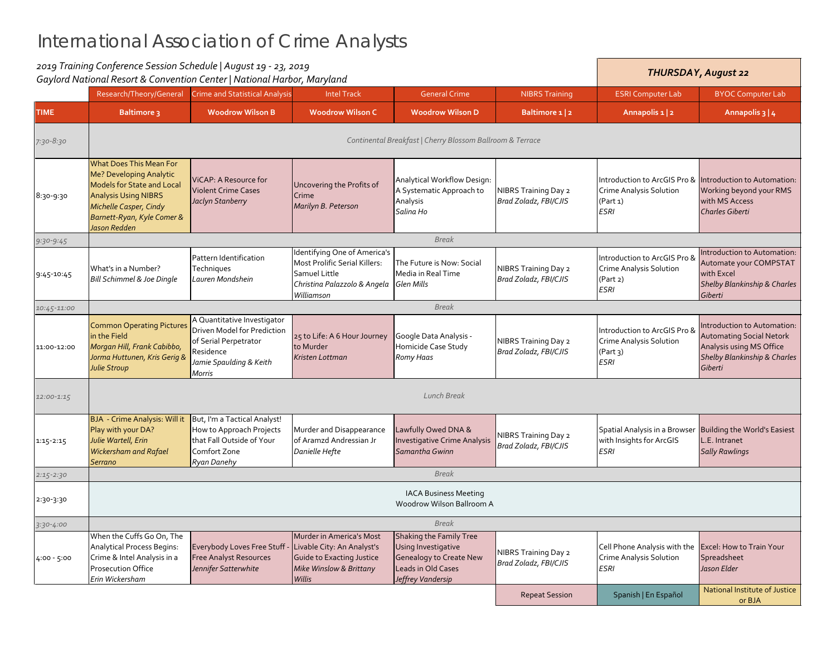|               | 2019 Training Conference Session Schedule   August 19 - 23, 2019<br>Gaylord National Resort & Convention Center   National Harbor, Maryland                                                           |                                                                                                                                       |                                                                                                                                         |                                                                                                                             |                                                      | <b>THURSDAY, August 22</b>                                                                      |                                                                                                                                                  |  |  |
|---------------|-------------------------------------------------------------------------------------------------------------------------------------------------------------------------------------------------------|---------------------------------------------------------------------------------------------------------------------------------------|-----------------------------------------------------------------------------------------------------------------------------------------|-----------------------------------------------------------------------------------------------------------------------------|------------------------------------------------------|-------------------------------------------------------------------------------------------------|--------------------------------------------------------------------------------------------------------------------------------------------------|--|--|
|               | Research/Theory/General                                                                                                                                                                               | <b>Crime and Statistical Analysis</b>                                                                                                 | <b>Intel Track</b>                                                                                                                      | <b>General Crime</b>                                                                                                        | <b>NIBRS Training</b>                                | <b>ESRI Computer Lab</b>                                                                        | <b>BYOC Computer Lab</b>                                                                                                                         |  |  |
| <b>TIME</b>   | <b>Baltimore 3</b>                                                                                                                                                                                    | <b>Woodrow Wilson B</b>                                                                                                               | <b>Woodrow Wilson C</b>                                                                                                                 | <b>Woodrow Wilson D</b>                                                                                                     | Baltimore 1 2                                        | Annapolis 1 2                                                                                   | Annapolis 3   4                                                                                                                                  |  |  |
| 7:30-8:30     | Continental Breakfast   Cherry Blossom Ballroom & Terrace                                                                                                                                             |                                                                                                                                       |                                                                                                                                         |                                                                                                                             |                                                      |                                                                                                 |                                                                                                                                                  |  |  |
| 8:30-9:30     | <b>What Does This Mean For</b><br>Me? Developing Analytic<br><b>Models for State and Local</b><br><b>Analysis Using NIBRS</b><br>Michelle Casper, Cindy<br>Barnett-Ryan, Kyle Comer &<br>Jason Redden | ViCAP: A Resource for<br><b>Violent Crime Cases</b><br>Jaclyn Stanberry                                                               | Uncovering the Profits of<br>Crime<br>Marilyn B. Peterson                                                                               | Analytical Workflow Design:<br>A Systematic Approach to<br>Analysis<br>Salina Ho                                            | NIBRS Training Day 2<br>Brad Zoladz, FBI/CJIS        | Crime Analysis Solution<br>(Part 1)<br><b>ESRI</b>                                              | Introduction to ArcGIS Pro & Introduction to Automation:<br>Working beyond your RMS<br>with MS Access<br>Charles Giberti                         |  |  |
| $9:30-9:45$   |                                                                                                                                                                                                       |                                                                                                                                       |                                                                                                                                         | <b>Break</b>                                                                                                                |                                                      |                                                                                                 |                                                                                                                                                  |  |  |
| 9:45-10:45    | What's in a Number?<br>Bill Schimmel & Joe Dingle                                                                                                                                                     | Pattern Identification<br>Techniques<br>Lauren Mondshein                                                                              | Identifying One of America's<br>Most Prolific Serial Killers:<br>Samuel Little<br>Christina Palazzolo & Angela Glen Mills<br>Williamson | The Future is Now: Social<br>Media in Real Time                                                                             | NIBRS Training Day 2<br>Brad Zoladz, FBI/CJIS        | Introduction to ArcGIS Pro &<br><b>Crime Analysis Solution</b><br>(Part 2)<br><b>ESRI</b>       | Introduction to Automation:<br>Automate your COMPSTAT<br>with Excel<br><b>Shelby Blankinship &amp; Charles</b><br>Giberti                        |  |  |
| 10:45-11:00   |                                                                                                                                                                                                       |                                                                                                                                       |                                                                                                                                         | <b>Break</b>                                                                                                                |                                                      |                                                                                                 |                                                                                                                                                  |  |  |
| 11:00-12:00   | <b>Common Operating Pictures</b><br>in the Field<br>Morgan Hill, Frank Cabibbo,<br>Jorma Huttunen, Kris Gerig &<br><b>Julie Stroup</b>                                                                | A Quantitative Investigator<br>Driven Model for Prediction<br>of Serial Perpetrator<br>Residence<br>Jamie Spaulding & Keith<br>Morris | 25 to Life: A 6 Hour Journey<br>to Murder<br>Kristen Lottman                                                                            | Google Data Analysis -<br>Homicide Case Study<br>Romy Haas                                                                  | NIBRS Training Day 2<br>Brad Zoladz, FBI/CJIS        | Introduction to ArcGIS Pro &<br><b>Crime Analysis Solution</b><br>(Part 3)<br><b>ESRI</b>       | Introduction to Automation:<br><b>Automating Social Netork</b><br>Analysis using MS Office<br><b>Shelby Blankinship &amp; Charles</b><br>Giberti |  |  |
| 12:00-1:15    | <b>Lunch Break</b>                                                                                                                                                                                    |                                                                                                                                       |                                                                                                                                         |                                                                                                                             |                                                      |                                                                                                 |                                                                                                                                                  |  |  |
| $1:15 - 2:15$ | BJA - Crime Analysis: Will it<br>Play with your DA?<br>Julie Wartell, Erin<br>Wickersham and Rafael<br>Serrano                                                                                        | But, I'm a Tactical Analyst!<br>How to Approach Projects<br>that Fall Outside of Your<br>Comfort Zone<br>Ryan Danehy                  | Murder and Disappearance<br>of Aramzd Andressian Jr<br>Danielle Hefte                                                                   | Lawfully Owed DNA &<br><b>Investigative Crime Analysis</b><br>Samantha Gwinn                                                | <b>NIBRS Training Day 2</b><br>Brad Zoladz, FBI/CJIS | with Insights for ArcGIS<br><b>ESRI</b>                                                         | Spatial Analysis in a Browser Building the World's Easiest<br>L.E. Intranet<br><b>Sally Rawlings</b>                                             |  |  |
| $2:15 - 2:30$ |                                                                                                                                                                                                       |                                                                                                                                       |                                                                                                                                         | <b>Break</b>                                                                                                                |                                                      |                                                                                                 |                                                                                                                                                  |  |  |
| 2:30-3:30     | <b>IACA Business Meeting</b><br>Woodrow Wilson Ballroom A                                                                                                                                             |                                                                                                                                       |                                                                                                                                         |                                                                                                                             |                                                      |                                                                                                 |                                                                                                                                                  |  |  |
| $3:30 - 4:00$ |                                                                                                                                                                                                       |                                                                                                                                       |                                                                                                                                         | <b>Break</b>                                                                                                                |                                                      |                                                                                                 |                                                                                                                                                  |  |  |
| $4:00 - 5:00$ | When the Cuffs Go On, The<br><b>Analytical Process Begins:</b><br>Crime & Intel Analysis in a<br><b>Prosecution Office</b><br>Erin Wickersham                                                         | Everybody Loves Free Stuff<br><b>Free Analyst Resources</b><br>Jennifer Satterwhite                                                   | Murder in America's Most<br>Livable City: An Analyst's<br><b>Guide to Exacting Justice</b><br>Mike Winslow & Brittany<br><b>Willis</b>  | Shaking the Family Tree<br>Using Investigative<br><b>Genealogy to Create New</b><br>Leads in Old Cases<br>Jeffrey Vandersip | NIBRS Training Day 2<br>Brad Zoladz, FBI/CJIS        | Cell Phone Analysis with the Excel: How to Train Your<br>Crime Analysis Solution<br><b>ESRI</b> | Spreadsheet<br>Jason Elder                                                                                                                       |  |  |
|               |                                                                                                                                                                                                       |                                                                                                                                       |                                                                                                                                         |                                                                                                                             | <b>Repeat Session</b>                                | Spanish   En Español                                                                            | National Institute of Justice<br>or BIA                                                                                                          |  |  |